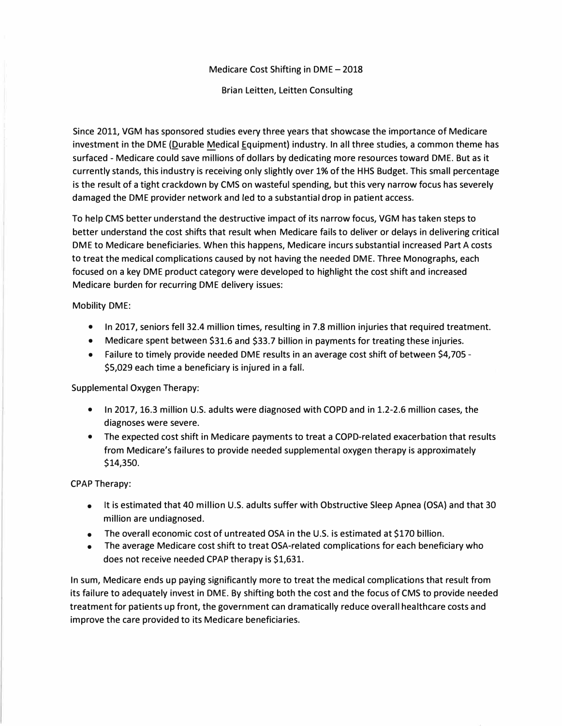#### Medicare Cost Shifting in DME  $-2018$

Brian Leitten, Leitten Consulting

Since 2011, VGM has sponsored studies every three years that showcase the importance of Medicare investment in the DME (Durable Medical Equipment) industry. In all three studies, a common theme has surfaced - Medicare could save millions of dollars by dedicating more resources toward DME. But as it currently stands, this industry is receiving only slightly over 1% of the HHS Budget. This small percentage is the result of a tight crackdown by CMS on wasteful spending, but this very narrow focus has severely damaged the DME provider network and led to a substantial drop in patient access.

To help CMS better understand the destructive impact of its narrow focus, VGM has taken steps to better understand the cost shifts that result when Medicare fails to deliver or delays in delivering critical DME to Medicare beneficiaries. When this happens, Medicare incurs substantial increased Part A costs to treat the medical complications caused by not having the needed DME. Three Monographs, each focused on a key DME product category were developed to highlight the cost shift and increased Medicare burden for recurring DME delivery issues:

Mobility DME:

- In 2017, seniors fell 32.4 million times, resulting in 7.8 million injuries that required treatment.
- Medicare spent between \$31.6 and \$33.7 billion in payments for treating these injuries.
- Failure to timely provide needed DME results in an average cost shift of between \$4,705 \$5,029 each time a beneficiary is injured in a fall.

Supplemental Oxygen Therapy:

- In 2017, 16.3 million U.S. adults were diagnosed with COPD and in 1.2-2.6 million cases, the diagnoses were severe.
- The expected cost shift in Medicare payments to treat a COPD-related exacerbation that results from Medicare's failures to provide needed supplemental oxygen therapy is approximately \$14,350.

CPAP Therapy:

- It is estimated that 40 million U.S. adults suffer with Obstructive Sleep Apnea (OSA) and that 30 million are undiagnosed.
- The overall economic cost of untreated OSA in the U.S. is estimated at \$170 billion.
- The average Medicare cost shift to treat OSA-related complications for each beneficiary who does not receive needed CPAP therapy is \$1,631.

In sum, Medicare ends up paying significantly more to treat the medical complications that result from its failure to adequately invest in DME. By shifting both the cost and the focus of CMS to provide needed treatment for patients up front, the government can dramatically reduce overall healthcare costs and improve the care provided to its Medicare beneficiaries.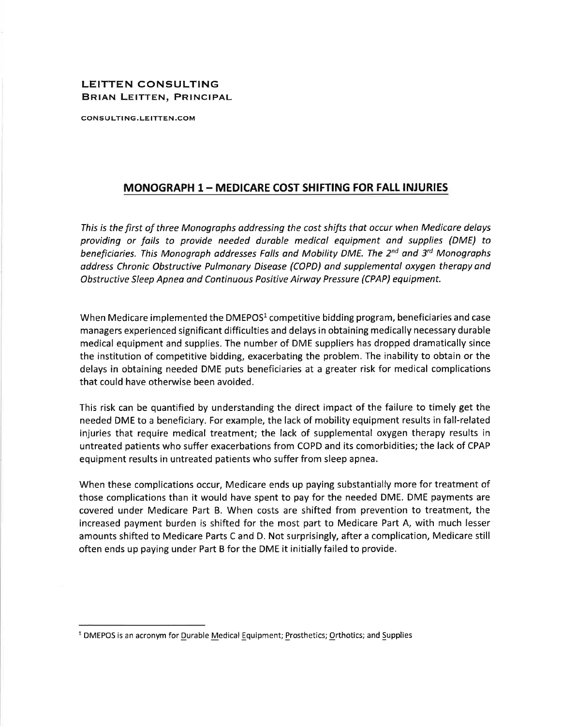### **LEITTEN CONSULTING BRIAN LEITTEN, PRINCIPAL**

CONSULTING.LEITTEN.COM

## **MONOGRAPH 1 - MEDICARE COST SHIFTING FOR FALL INJURIES**

This is the first of three Monographs addressing the cost shifts that occur when Medicare delays providing or fails to provide needed durable medical equipment and supplies (DME) to beneficiaries. This Monograph addresses Falls and Mobility DME. The 2<sup>nd</sup> and 3<sup>rd</sup> Monographs address Chronic Obstructive Pulmonary Disease (COPD) and supplemental oxygen therapy and Obstructive Sleep Apnea and Continuous Positive Airway Pressure (CPAP) equipment.

When Medicare implemented the DMEPOS<sup>1</sup> competitive bidding program, beneficiaries and case managers experienced significant difficulties and delays in obtaining medically necessary durable medical equipment and supplies. The number of DME suppliers has dropped dramatically since the institution of competitive bidding, exacerbating the problem. The inability to obtain or the delays in obtaining needed DME puts beneficiaries at a greater risk for medical complications that could have otherwise been avoided.

This risk can be quantified by understanding the direct impact of the failure to timely get the needed DME to a beneficiary. For example, the lack of mobility equipment results in fall-related injuries that require medical treatment; the lack of supplemental oxygen therapy results in untreated patients who suffer exacerbations from COPD and its comorbidities; the lack of CPAP equipment results in untreated patients who suffer from sleep apnea.

When these complications occur, Medicare ends up paying substantially more for treatment of those complications than it would have spent to pay for the needed DME. DME payments are covered under Medicare Part B. When costs are shifted from prevention to treatment, the increased payment burden is shifted for the most part to Medicare Part A, with much lesser amounts shifted to Medicare Parts C and D. Not surprisingly, after a complication, Medicare still often ends up paying under Part B for the DME it initially failed to provide.

<sup>&</sup>lt;sup>1</sup> DMEPOS is an acronym for Durable Medical Equipment; Prosthetics; Orthotics; and Supplies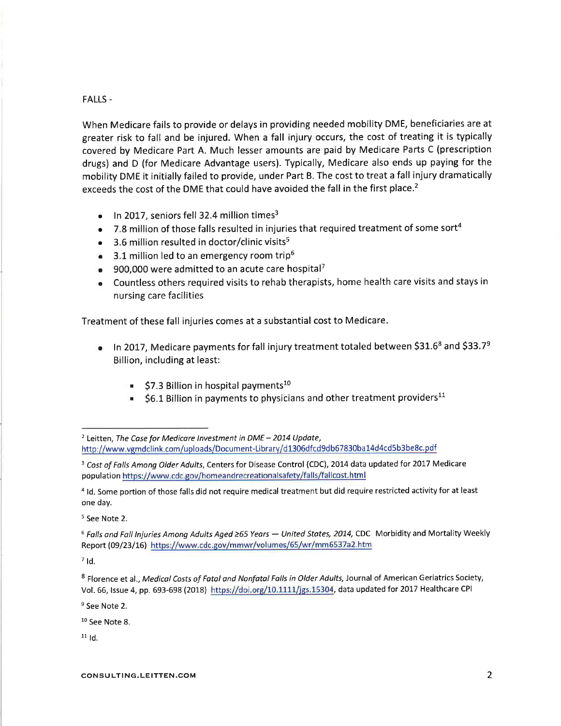#### **FALLS-**

When Medicare fails to provide or delays in providing needed mobility DME, beneficiaries are at greater risk to fall and be injured. When a fall injury occurs, the cost of treating it is typically covered by Medicare Part A. Much lesser amounts are paid by Medicare Parts C (prescription drugs) and D (for Medicare Advantage users). Typically, Medicare also ends up paying for the mobility DME it initially failed to provide, under Part B. The cost to treat a fall injury dramatically exceeds the cost of the DME that could have avoided the fall in the first place.<sup>2</sup>

- In 2017, seniors fell 32.4 million times<sup>3</sup>
- 7.8 million of those falls resulted in injuries that required treatment of some sort<sup>4</sup>
- 3.6 million resulted in doctor/clinic visits<sup>5</sup>
- 3.1 million led to an emergency room trip<sup>6</sup>
- 900,000 were admitted to an acute care hospital?
- Countless others required visits to rehab therapists, home health care visits and stays in nursing care facilities

Treatment of these fall injuries comes at a substantial cost to Medicare.

- **•** In 2017, Medicare payments for fall injury treatment totaled between \$31.6<sup>8</sup> and \$33.7<sup>9</sup> Billion, including at least:
	- \$7.3 Billion in hospital payments<sup>10</sup>
	- $\blacksquare$  \$6.1 Billion in payments to physicians and other treatment providers<sup>11</sup>

<sup>5</sup> See Note 2.

 $6$  Falls and Fall Injuries Among Adults Aged  $\geq 65$  Years - United States, 2014, CDC Morbidity and Mortality Weekly Report (09/23/16) https://www.cdc.gov/mmwr/volumes/65/wr/mm6537a2.htm

 $7$  Id.

<sup>9</sup> See Note 2.

<sup>10</sup> See Note 8.

 $11$  Id.

<sup>&</sup>lt;sup>2</sup> Leitten, The Case for Medicare Investment in DME - 2014 Update, http://www.vgmdclink.com/uploads/Document-Library/d1306dfcd9db67830ba14d4cd5b3be8c.pdf

<sup>&</sup>lt;sup>3</sup> Cost of Falls Among Older Adults, Centers for Disease Control (CDC), 2014 data updated for 2017 Medicare population https://www.cdc.gov/homeandrecreationalsafety/falls/fallcost.html

<sup>&</sup>lt;sup>4</sup> Id. Some portion of those falls did not require medical treatment but did require restricted activity for at least one day.

<sup>&</sup>lt;sup>8</sup> Florence et al., Medical Costs of Fatal and Nonfatal Falls in Older Adults, Journal of American Geriatrics Society, Vol. 66, Issue 4, pp. 693-698 (2018) https://doi.org/10.1111/jgs.15304, data updated for 2017 Healthcare CPI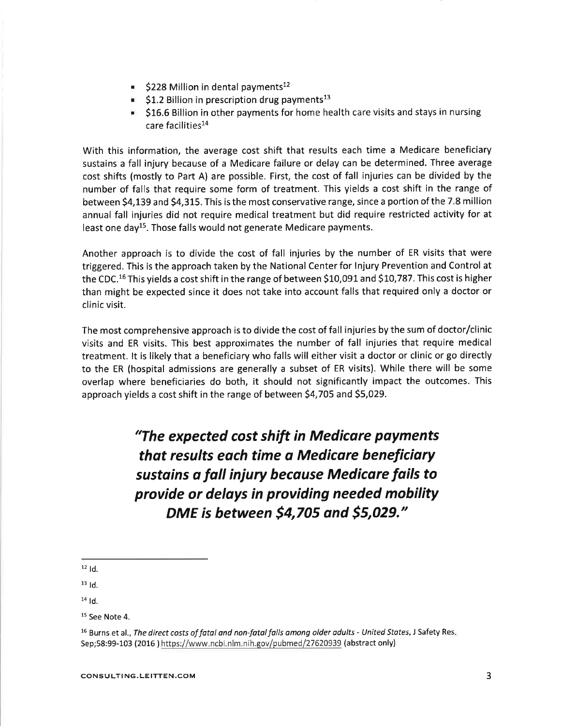- $\blacktriangleright$  \$228 Million in dental payments<sup>12</sup>
- $\approx$  \$1.2 Billion in prescription drug payments<sup>13</sup>
- \$16.6 Billion in other payments for home health care visits and stays in nursing care facilities<sup>14</sup>

With this information, the average cost shift that results each time a Medicare beneficiary sustains a fall injury because of a Medicare failure or delay can be determined. Three average cost shifts (mostly to Part A) are possible. First, the cost of fall injuries can be divided by the number of falls that require some form of treatment. This yields a cost shift in the range of between \$4,139 and \$4,315. This is the most conservative range, since a portion of the 7.8 million annual fall injuries did not require medical treatment but did require restricted activity for at least one day<sup>15</sup>. Those falls would not generate Medicare payments.

Another approach is to divide the cost of fall injuries by the number of ER visits that were triggered. This is the approach taken by the National Center for Injury Prevention and Control at the CDC.<sup>16</sup> This yields a cost shift in the range of between \$10,091 and \$10,787. This cost is higher than might be expected since it does not take into account falls that required only a doctor or clinic visit.

The most comprehensive approach is to divide the cost of fall injuries by the sum of doctor/clinic visits and ER visits. This best approximates the number of fall injuries that require medical treatment. It is likely that a beneficiary who falls will either visit a doctor or clinic or go directly to the ER (hospital admissions are generally a subset of ER visits). While there will be some overlap where beneficiaries do both, it should not significantly impact the outcomes. This approach yields a cost shift in the range of between \$4,705 and \$5,029.

> "The expected cost shift in Medicare payments that results each time a Medicare beneficiary sustains a fall injury because Medicare fails to provide or delays in providing needed mobility DME is between \$4,705 and \$5,029."

 $12$  Id.

 $13$  Id.

 $14$  Id.

<sup>15</sup> See Note 4.

<sup>&</sup>lt;sup>16</sup> Burns et al., The direct costs of fatal and non-fatal falls among older adults - United States, J Safety Res. Sep;58:99-103 (2016) https://www.ncbi.nlm.nih.gov/pubmed/27620939 (abstract only)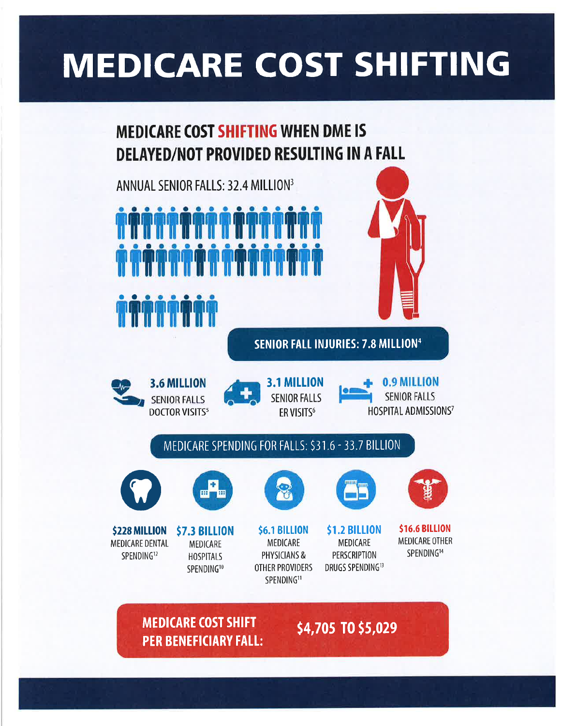# **MEDICARE COST SHIFTING**

# **MEDICARE COST SHIFTING WHEN DME IS DELAYED/NOT PROVIDED RESULTING IN A FALL**

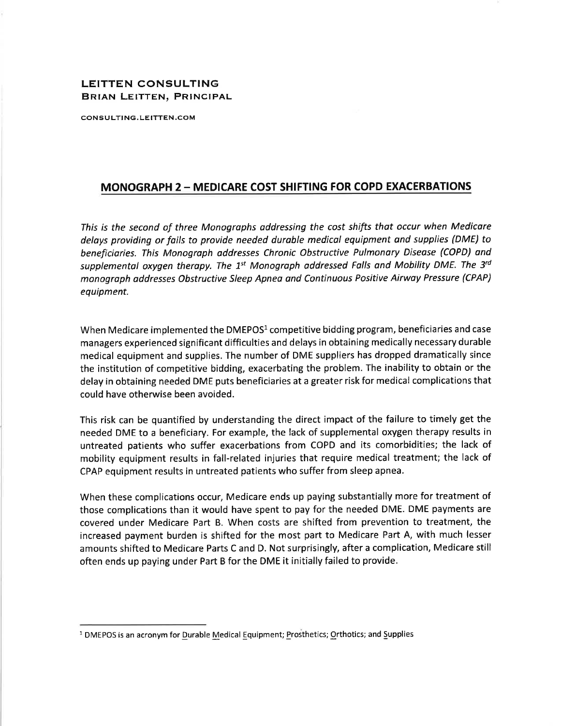### **LEITTEN CONSULTING BRIAN LEITTEN, PRINCIPAL**

CONSULTING.LEITTEN.COM

## **MONOGRAPH 2 - MEDICARE COST SHIFTING FOR COPD EXACERBATIONS**

This is the second of three Monographs addressing the cost shifts that occur when Medicare delays providing or fails to provide needed durable medical equipment and supplies (DME) to beneficiaries. This Monograph addresses Chronic Obstructive Pulmonary Disease (COPD) and supplemental oxygen therapy. The 1<sup>st</sup> Monograph addressed Falls and Mobility DME. The 3<sup>rd</sup> monograph addresses Obstructive Sleep Apnea and Continuous Positive Airway Pressure (CPAP) equipment.

When Medicare implemented the DMEPOS<sup>1</sup> competitive bidding program, beneficiaries and case managers experienced significant difficulties and delays in obtaining medically necessary durable medical equipment and supplies. The number of DME suppliers has dropped dramatically since the institution of competitive bidding, exacerbating the problem. The inability to obtain or the delay in obtaining needed DME puts beneficiaries at a greater risk for medical complications that could have otherwise been avoided.

This risk can be quantified by understanding the direct impact of the failure to timely get the needed DME to a beneficiary. For example, the lack of supplemental oxygen therapy results in untreated patients who suffer exacerbations from COPD and its comorbidities; the lack of mobility equipment results in fall-related injuries that require medical treatment; the lack of CPAP equipment results in untreated patients who suffer from sleep apnea.

When these complications occur, Medicare ends up paying substantially more for treatment of those complications than it would have spent to pay for the needed DME. DME payments are covered under Medicare Part B. When costs are shifted from prevention to treatment, the increased payment burden is shifted for the most part to Medicare Part A, with much lesser amounts shifted to Medicare Parts C and D. Not surprisingly, after a complication, Medicare still often ends up paying under Part B for the DME it initially failed to provide.

<sup>&</sup>lt;sup>1</sup> DMEPOS is an acronym for Durable Medical Equipment; Prosthetics; Orthotics; and Supplies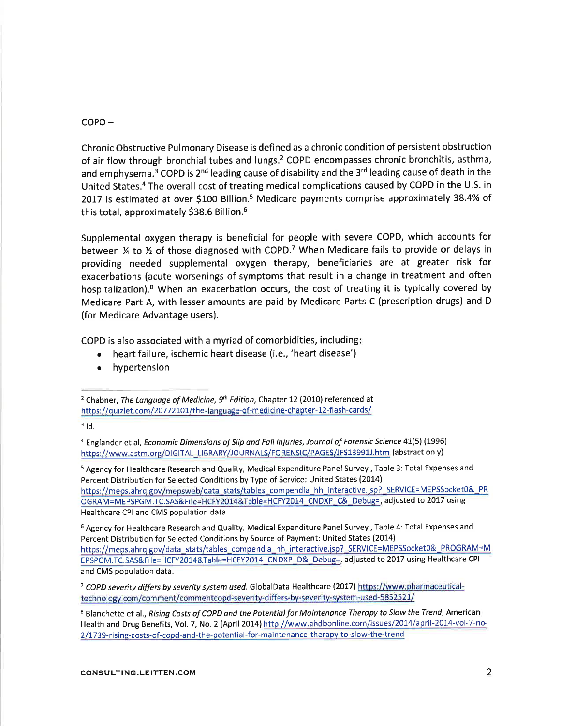#### $COPD -$

Chronic Obstructive Pulmonary Disease is defined as a chronic condition of persistent obstruction of air flow through bronchial tubes and lungs.<sup>2</sup> COPD encompasses chronic bronchitis, asthma, and emphysema.<sup>3</sup> COPD is 2<sup>nd</sup> leading cause of disability and the 3<sup>rd</sup> leading cause of death in the United States.<sup>4</sup> The overall cost of treating medical complications caused by COPD in the U.S. in 2017 is estimated at over \$100 Billion.<sup>5</sup> Medicare payments comprise approximately 38.4% of this total, approximately \$38.6 Billion.<sup>6</sup>

Supplemental oxygen therapy is beneficial for people with severe COPD, which accounts for between % to % of those diagnosed with COPD.<sup>7</sup> When Medicare fails to provide or delays in providing needed supplemental oxygen therapy, beneficiaries are at greater risk for exacerbations (acute worsenings of symptoms that result in a change in treatment and often hospitalization).<sup>8</sup> When an exacerbation occurs, the cost of treating it is typically covered by Medicare Part A, with lesser amounts are paid by Medicare Parts C (prescription drugs) and D (for Medicare Advantage users).

COPD is also associated with a myriad of comorbidities, including:

- heart failure, ischemic heart disease (i.e., 'heart disease')
- $\bullet$ hypertension

 $3d$ 

<sup>5</sup> Agency for Healthcare Research and Quality, Medical Expenditure Panel Survey, Table 3: Total Expenses and Percent Distribution for Selected Conditions by Type of Service: United States (2014) https://meps.ahrq.gov/mepsweb/data\_stats/tables\_compendia\_hh\_interactive.jsp?\_SERVICE=MEPSSocket0&\_PR OGRAM=MEPSPGM.TC.SAS&File=HCFY2014&Table=HCFY2014\_CNDXP\_C&\_Debug=, adjusted to 2017 using Healthcare CPI and CMS population data.

<sup>6</sup> Agency for Healthcare Research and Quality, Medical Expenditure Panel Survey, Table 4: Total Expenses and Percent Distribution for Selected Conditions by Source of Payment: United States (2014) https://meps.ahrq.gov/data\_stats/tables\_compendia\_hh\_interactive.jsp?\_SERVICE=MEPSSocket0&\_PROGRAM=M EPSPGM.TC.SAS&File=HCFY2014&Table=HCFY2014\_CNDXP\_D&\_Debug=, adjusted to 2017 using Healthcare CPI and CMS population data.

<sup>7</sup> COPD severity differs by severity system used, GlobalData Healthcare (2017) https://www.pharmaceuticaltechnology.com/comment/commentcopd-severity-differs-by-severity-system-used-5852521/

<sup>8</sup> Blanchette et al., Rising Costs of COPD and the Potential for Maintenance Therapy to Slow the Trend, American Health and Drug Benefits, Vol. 7, No. 2 (April 2014) http://www.ahdbonline.com/issues/2014/april-2014-vol-7-no-2/1739-rising-costs-of-copd-and-the-potential-for-maintenance-therapy-to-slow-the-trend

<sup>&</sup>lt;sup>2</sup> Chabner, The Language of Medicine, 9<sup>th</sup> Edition, Chapter 12 (2010) referenced at https://quizlet.com/20772101/the-language-of-medicine-chapter-12-flash-cards/

<sup>&</sup>lt;sup>4</sup> Englander et al, Economic Dimensions of Slip and Fall Injuries, Journal of Forensic Science 41(5) (1996) https://www.astm.org/DIGITAL\_LIBRARY/JOURNALS/FORENSIC/PAGES/JFS13991J.htm (abstract only)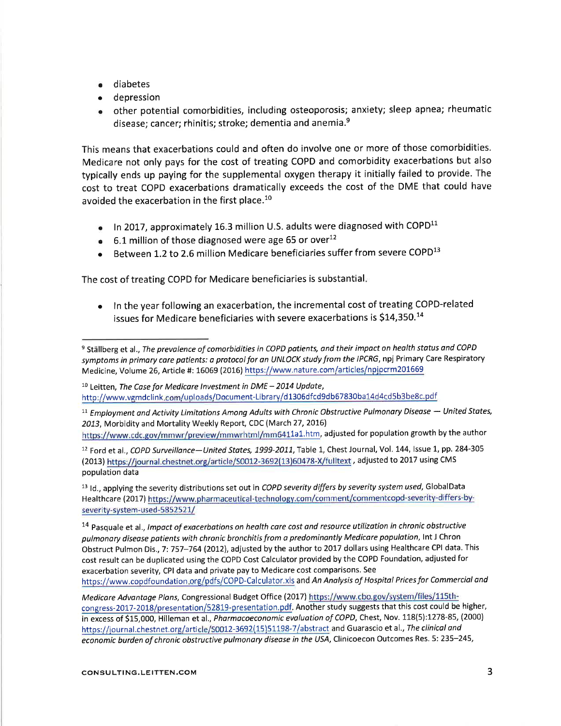- · diabetes
- · depression
- . other potential comorbidities, including osteoporosis; anxiety; sleep apnea; rheumatic disease: cancer; rhinitis; stroke; dementia and anemia.<sup>9</sup>

This means that exacerbations could and often do involve one or more of those comorbidities. Medicare not only pays for the cost of treating COPD and comorbidity exacerbations but also typically ends up paying for the supplemental oxygen therapy it initially failed to provide. The cost to treat COPD exacerbations dramatically exceeds the cost of the DME that could have avoided the exacerbation in the first place.<sup>10</sup>

- In 2017, approximately 16.3 million U.S. adults were diagnosed with COPD<sup>11</sup>
- 6.1 million of those diagnosed were age 65 or over  $12$
- Between 1.2 to 2.6 million Medicare beneficiaries suffer from severe COPD<sup>13</sup>

The cost of treating COPD for Medicare beneficiaries is substantial.

• In the year following an exacerbation, the incremental cost of treating COPD-related issues for Medicare beneficiaries with severe exacerbations is \$14,350.14

 $10$  Leitten, The Case for Medicare Investment in DME - 2014 Update, http://www.vgmdclink.com/uploads/Document-Library/d1306dfcd9db67830ba14d4cd5b3be8c.pdf

<sup>11</sup> Employment and Activity Limitations Among Adults with Chronic Obstructive Pulmonary Disease - United States, 2013, Morbidity and Mortality Weekly Report, CDC (March 27, 2016) https://www.cdc.gov/mmwr/preview/mmwrhtml/mm6411a1.htm, adjusted for population growth by the author

<sup>12</sup> Ford et al., COPD Surveillance-United States, 1999-2011, Table 1, Chest Journal, Vol. 144, Issue 1, pp. 284-305 (2013) https://journal.chestnet.org/article/S0012-3692(13)60478-X/fulltext, adjusted to 2017 using CMS

<sup>13</sup> Id., applying the severity distributions set out in COPD severity differs by severity system used, GlobalData Healthcare (2017) https://www.pharmaceutical-technology.com/comment/commentcopd-severity-differs-byseverity-system-used-5852521/

<sup>14</sup> Pasquale et al., *Impact of exacerbations on health care cost and resource utilization in chronic obstructive* pulmonary disease patients with chronic bronchitis from a predominantly Medicare population, Int J Chron Obstruct Pulmon Dis., 7: 757-764 (2012), adjusted by the author to 2017 dollars using Healthcare CPI data. This cost result can be duplicated using the COPD Cost Calculator provided by the COPD Foundation, adjusted for exacerbation severity, CPI data and private pay to Medicare cost comparisons. See https://www.copdfoundation.org/pdfs/COPD-Calculator.xls and An Analysis of Hospital Prices for Commercial and

population data

<sup>&</sup>lt;sup>9</sup> Ställberg et al., The prevalence of comorbidities in COPD patients, and their impact on health status and COPD symptoms in primary care patients: a protocol for an UNLOCK study from the IPCRG, npj Primary Care Respiratory Medicine, Volume 26, Article #: 16069 (2016) https://www.nature.com/articles/npjpcrm201669

Medicare Advantage Plans, Congressional Budget Office (2017) https://www.cbo.gov/system/files/115thcongress-2017-2018/presentation/52819-presentation.pdf. Another study suggests that this cost could be higher, in excess of \$15,000, Hilleman et al., Pharmacoeconomic evaluation of COPD, Chest, Nov. 118(5):1278-85, (2000) https://journal.chestnet.org/article/S0012-3692(15)51198-7/abstract and Guarascio et al., The clinical and economic burden of chronic obstructive pulmonary disease in the USA, Clinicoecon Outcomes Res. 5: 235-245,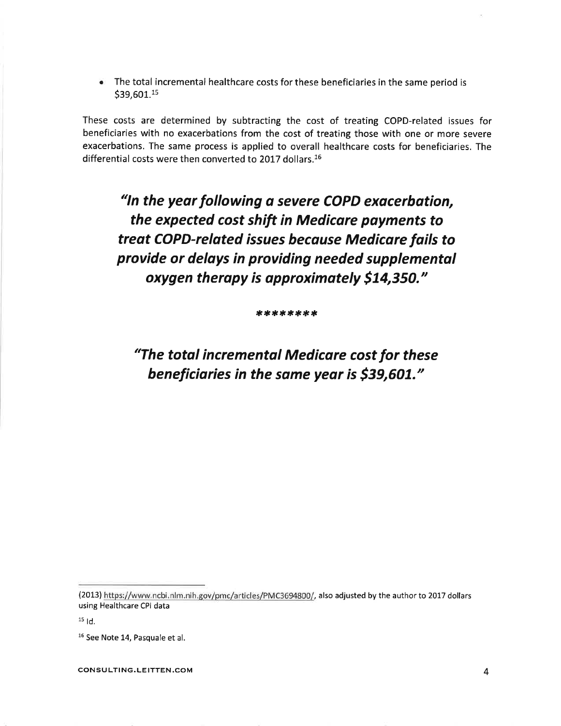The total incremental healthcare costs for these beneficiaries in the same period is  $\bullet$ \$39,601.15

These costs are determined by subtracting the cost of treating COPD-related issues for beneficiaries with no exacerbations from the cost of treating those with one or more severe exacerbations. The same process is applied to overall healthcare costs for beneficiaries. The differential costs were then converted to 2017 dollars.<sup>16</sup>

"In the year following a severe COPD exacerbation, the expected cost shift in Medicare payments to treat COPD-related issues because Medicare fails to provide or delays in providing needed supplemental oxygen therapy is approximately \$14,350."

\*\*\*\*\*\*\*\*

"The total incremental Medicare cost for these beneficiaries in the same year is \$39,601."

 $15$  Id.

<sup>16</sup> See Note 14, Pasquale et al.

CONSULTING.LEITTEN.COM

<sup>(2013)</sup> https://www.ncbi.nlm.nih.gov/pmc/articles/PMC3694800/, also adjusted by the author to 2017 dollars using Healthcare CPI data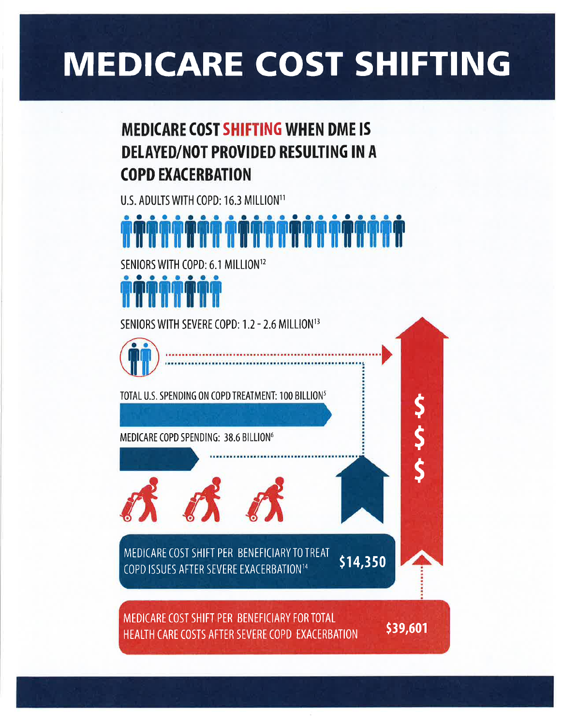# **MEDICARE COST SHIFTING**

# **MEDICARE COST SHIFTING WHEN DME IS DELAYED/NOT PROVIDED RESULTING IN A COPD EXACERBATION**

U.S. ADULTS WITH COPD: 16.3 MILLION<sup>11</sup>

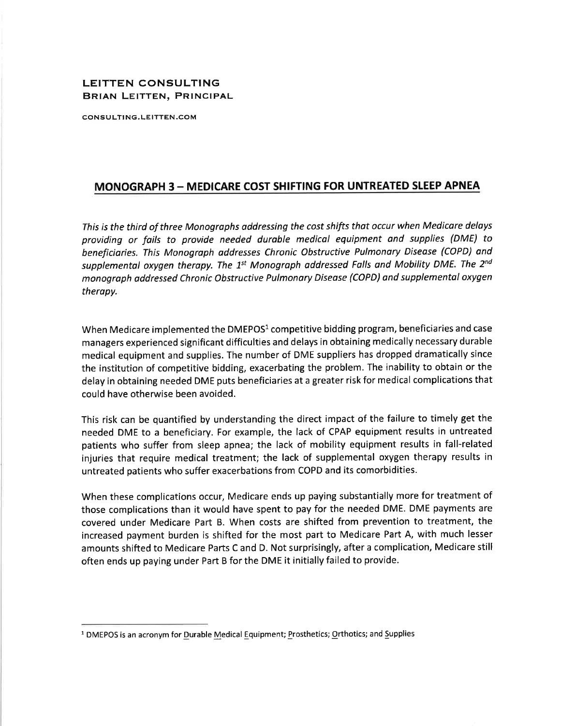### **LEITTEN CONSULTING BRIAN LEITTEN, PRINCIPAL**

CONSULTING.LEITTEN.COM

## MONOGRAPH 3 - MEDICARE COST SHIFTING FOR UNTREATED SLEEP APNEA

This is the third of three Monographs addressing the cost shifts that occur when Medicare delays providing or fails to provide needed durable medical equipment and supplies (DME) to beneficiaries. This Monograph addresses Chronic Obstructive Pulmonary Disease (COPD) and supplemental oxygen therapy. The 1<sup>st</sup> Monograph addressed Falls and Mobility DME. The 2<sup>nd</sup> monograph addressed Chronic Obstructive Pulmonary Disease (COPD) and supplemental oxygen therapy.

When Medicare implemented the DMEPOS<sup>1</sup> competitive bidding program, beneficiaries and case managers experienced significant difficulties and delays in obtaining medically necessary durable medical equipment and supplies. The number of DME suppliers has dropped dramatically since the institution of competitive bidding, exacerbating the problem. The inability to obtain or the delay in obtaining needed DME puts beneficiaries at a greater risk for medical complications that could have otherwise been avoided.

This risk can be quantified by understanding the direct impact of the failure to timely get the needed DME to a beneficiary. For example, the lack of CPAP equipment results in untreated patients who suffer from sleep apnea; the lack of mobility equipment results in fall-related injuries that require medical treatment; the lack of supplemental oxygen therapy results in untreated patients who suffer exacerbations from COPD and its comorbidities.

When these complications occur, Medicare ends up paying substantially more for treatment of those complications than it would have spent to pay for the needed DME. DME payments are covered under Medicare Part B. When costs are shifted from prevention to treatment, the increased payment burden is shifted for the most part to Medicare Part A, with much lesser amounts shifted to Medicare Parts C and D. Not surprisingly, after a complication, Medicare still often ends up paying under Part B for the DME it initially failed to provide.

<sup>&</sup>lt;sup>1</sup> DMEPOS is an acronym for Durable Medical Equipment; Prosthetics; Orthotics; and Supplies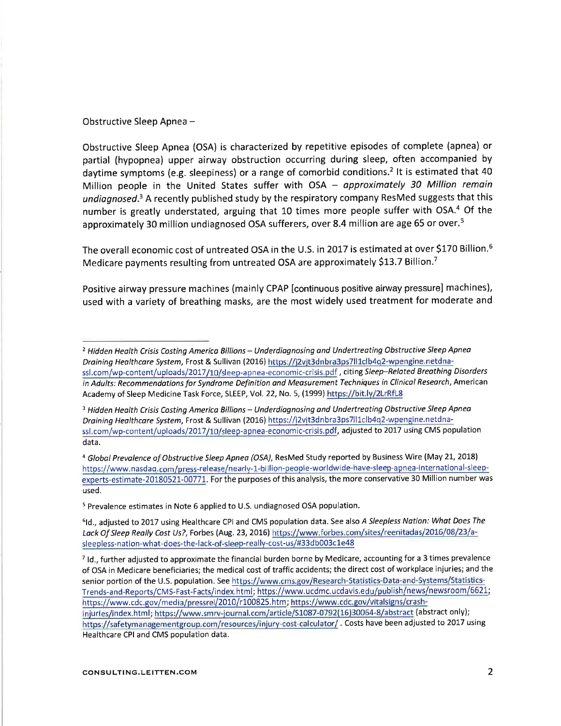#### Obstructive Sleep Apnea -

Obstructive Sleep Apnea (OSA) is characterized by repetitive episodes of complete (apnea) or partial (hypopnea) upper airway obstruction occurring during sleep, often accompanied by daytime symptoms (e.g. sleepiness) or a range of comorbid conditions.<sup>2</sup> It is estimated that 40 Million people in the United States suffer with OSA - approximately 30 Million remain undiagnosed.<sup>3</sup> A recently published study by the respiratory company ResMed suggests that this number is greatly understated, arguing that 10 times more people suffer with OSA.<sup>4</sup> Of the approximately 30 million undiagnosed OSA sufferers, over 8.4 million are age 65 or over.<sup>5</sup>

The overall economic cost of untreated OSA in the U.S. in 2017 is estimated at over \$170 Billion.<sup>6</sup> Medicare payments resulting from untreated OSA are approximately \$13.7 Billion.7

Positive airway pressure machines (mainly CPAP [continuous positive airway pressure] machines), used with a variety of breathing masks, are the most widely used treatment for moderate and

<sup>4</sup> Global Prevalence of Obstructive Sleep Apnea (OSA), ResMed Study reported by Business Wire (May 21, 2018) https://www.nasdaq.com/press-release/nearly-1-billion-people-worldwide-have-sleep-apnea-international-sleepexperts-estimate-20180521-00771. For the purposes of this analysis, the more conservative 30 Million number was used.

<sup>5</sup> Prevalence estimates in Note 6 applied to U.S. undiagnosed OSA population.

<sup>6</sup>Id., adjusted to 2017 using Healthcare CPI and CMS population data. See also A Sleepless Nation: What Does The Lack Of Sleep Really Cost Us?, Forbes (Aug. 23, 2016) https://www.forbes.com/sites/reenitadas/2016/08/23/asleepless-nation-what-does-the-lack-of-sleep-really-cost-us/#33db003c1e48

<sup>&</sup>lt;sup>2</sup> Hidden Health Crisis Costing America Billions – Underdiagnosing and Undertreating Obstructive Sleep Apnea Draining Healthcare System, Frost & Sullivan (2016) https://j2vjt3dnbra3ps7ll1clb4q2-wpengine.netdnassl.com/wp-content/uploads/2017/10/sleep-apnea-economic-crisis.pdf, citing Sleep-Related Breathing Disorders in Adults: Recommendations for Syndrome Definition and Measurement Techniques in Clinical Research, American Academy of Sleep Medicine Task Force, SLEEP, Vol. 22, No. 5, (1999) https://bit.ly/2LrRfL8

<sup>&</sup>lt;sup>3</sup> Hidden Health Crisis Costing America Billions - Underdiagnosing and Undertreating Obstructive Sleep Apnea Draining Healthcare System, Frost & Sullivan (2016) https://j2vjt3dnbra3ps7ll1clb4q2-wpengine.netdnassl.com/wp-content/uploads/2017/10/sleep-apnea-economic-crisis.pdf, adjusted to 2017 using CMS population data.

<sup>&</sup>lt;sup>7</sup> Id., further adjusted to approximate the financial burden borne by Medicare, accounting for a 3 times prevalence of OSA in Medicare beneficiaries; the medical cost of traffic accidents; the direct cost of workplace injuries; and the senior portion of the U.S. population. See https://www.cms.gov/Research-Statistics-Data-and-Systems/Statistics-Trends-and-Reports/CMS-Fast-Facts/index.html; https://www.ucdmc.ucdavis.edu/publish/news/newsroom/6621; https://www.cdc.gov/media/pressrel/2010/r100825.htm; https://www.cdc.gov/vitalsigns/crashinjuries/index.html; https://www.smrv-journal.com/article/S1087-0792(16)30064-8/abstract (abstract only); https://safetymanagementgroup.com/resources/injury-cost-calculator/ Costs have been adjusted to 2017 using Healthcare CPI and CMS population data.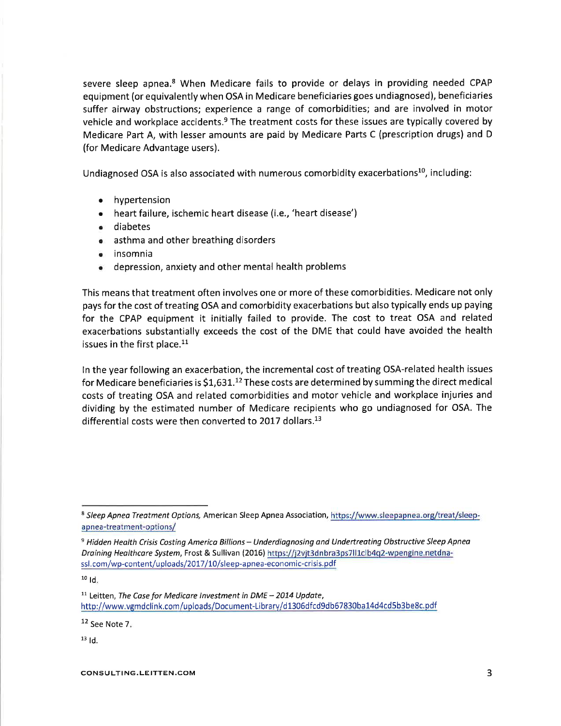severe sleep apnea.<sup>8</sup> When Medicare fails to provide or delays in providing needed CPAP equipment (or equivalently when OSA in Medicare beneficiaries goes undiagnosed), beneficiaries suffer airway obstructions; experience a range of comorbidities; and are involved in motor vehicle and workplace accidents.<sup>9</sup> The treatment costs for these issues are typically covered by Medicare Part A, with lesser amounts are paid by Medicare Parts C (prescription drugs) and D (for Medicare Advantage users).

Undiagnosed OSA is also associated with numerous comorbidity exacerbations<sup>10</sup>, including:

- hypertension
- heart failure, ischemic heart disease (i.e., 'heart disease')
- · diabetes
- asthma and other breathing disorders
- · insomnia
- depression, anxiety and other mental health problems

This means that treatment often involves one or more of these comorbidities. Medicare not only pays for the cost of treating OSA and comorbidity exacerbations but also typically ends up paying for the CPAP equipment it initially failed to provide. The cost to treat OSA and related exacerbations substantially exceeds the cost of the DME that could have avoided the health issues in the first place.<sup>11</sup>

In the year following an exacerbation, the incremental cost of treating OSA-related health issues for Medicare beneficiaries is \$1,631.<sup>12</sup> These costs are determined by summing the direct medical costs of treating OSA and related comorbidities and motor vehicle and workplace injuries and dividing by the estimated number of Medicare recipients who go undiagnosed for OSA. The differential costs were then converted to 2017 dollars.<sup>13</sup>

 $10$  Id.

 $12$  See Note 7.

 $13$  Id.

<sup>&</sup>lt;sup>8</sup> Sleep Apnea Treatment Options, American Sleep Apnea Association, https://www.sleepapnea.org/treat/sleepapnea-treatment-options/

<sup>&</sup>lt;sup>9</sup> Hidden Health Crisis Costing America Billions – Underdiagnosing and Undertreating Obstructive Sleep Apnea Draining Healthcare System, Frost & Sullivan (2016) https://j2vjt3dnbra3ps7ll1clb4q2-wpengine.netdnassl.com/wp-content/uploads/2017/10/sleep-apnea-economic-crisis.pdf

 $11$  Leitten, The Case for Medicare Investment in DME - 2014 Update, http://www.vgmdclink.com/uploads/Document-Library/d1306dfcd9db67830ba14d4cd5b3be8c.pdf